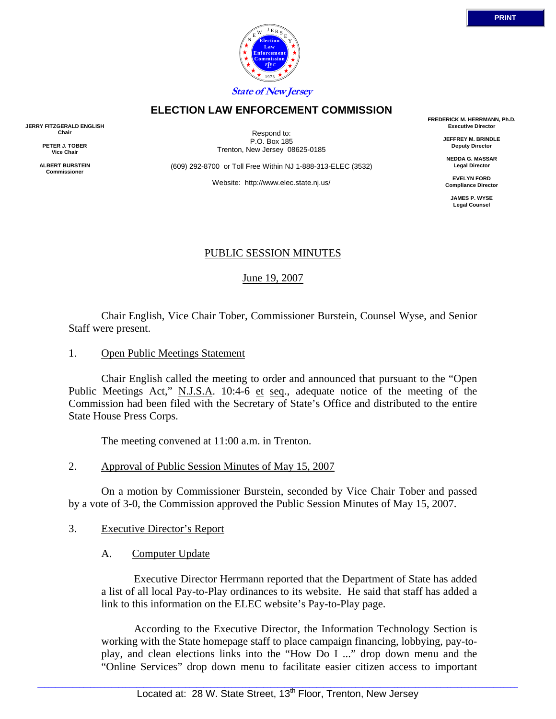

## **ELECTION LAW ENFORCEMENT COMMISSION**

**JERRY FITZGERALD ENGLISH Chair** 

> **PETER J. TOBER Vice Chair**

**ALBERT BURSTEIN Commissioner** 

Respond to: P.O. Box 185 Trenton, New Jersey 08625-0185

(609) 292-8700 or Toll Free Within NJ 1-888-313-ELEC (3532)

Website: http://www.elec.state.nj.us/

**FREDERICK M. HERRMANN, Ph.D. Executive Director** 

> **JEFFREY M. BRINDLE Deputy Director**

**NEDDA G. MASSAR Legal Director** 

**EVELYN FORD Compliance Director** 

**JAMES P. WYSE Legal Counsel** 

### PUBLIC SESSION MINUTES

June 19, 2007

 Chair English, Vice Chair Tober, Commissioner Burstein, Counsel Wyse, and Senior Staff were present.

1. Open Public Meetings Statement

 Chair English called the meeting to order and announced that pursuant to the "Open Public Meetings Act," N.J.S.A. 10:4-6 et seq., adequate notice of the meeting of the Commission had been filed with the Secretary of State's Office and distributed to the entire State House Press Corps.

The meeting convened at 11:00 a.m. in Trenton.

2. Approval of Public Session Minutes of May 15, 2007

 On a motion by Commissioner Burstein, seconded by Vice Chair Tober and passed by a vote of 3-0, the Commission approved the Public Session Minutes of May 15, 2007.

- 3. Executive Director's Report
	- A. Computer Update

 Executive Director Herrmann reported that the Department of State has added a list of all local Pay-to-Play ordinances to its website. He said that staff has added a link to this information on the ELEC website's Pay-to-Play page.

 According to the Executive Director, the Information Technology Section is working with the State homepage staff to place campaign financing, lobbying, pay-toplay, and clean elections links into the "How Do I ..." drop down menu and the "Online Services" drop down menu to facilitate easier citizen access to important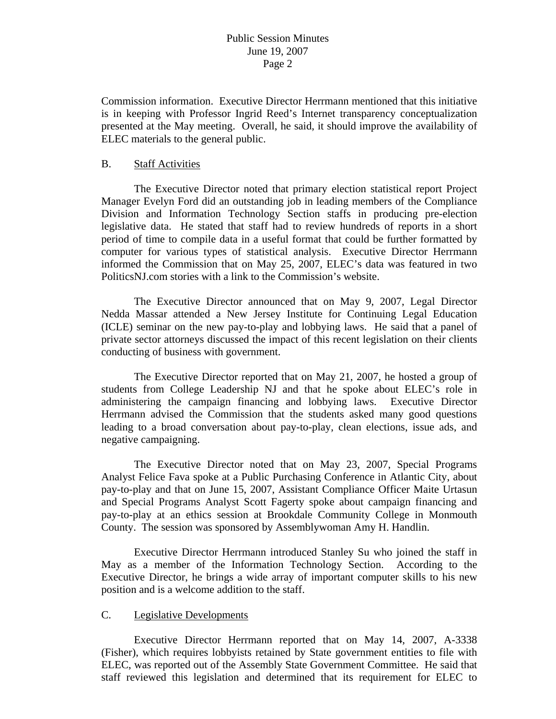Commission information. Executive Director Herrmann mentioned that this initiative is in keeping with Professor Ingrid Reed's Internet transparency conceptualization presented at the May meeting. Overall, he said, it should improve the availability of ELEC materials to the general public.

#### B. Staff Activities

 The Executive Director noted that primary election statistical report Project Manager Evelyn Ford did an outstanding job in leading members of the Compliance Division and Information Technology Section staffs in producing pre-election legislative data. He stated that staff had to review hundreds of reports in a short period of time to compile data in a useful format that could be further formatted by computer for various types of statistical analysis. Executive Director Herrmann informed the Commission that on May 25, 2007, ELEC's data was featured in two PoliticsNJ.com stories with a link to the Commission's website.

 The Executive Director announced that on May 9, 2007, Legal Director Nedda Massar attended a New Jersey Institute for Continuing Legal Education (ICLE) seminar on the new pay-to-play and lobbying laws. He said that a panel of private sector attorneys discussed the impact of this recent legislation on their clients conducting of business with government.

 The Executive Director reported that on May 21, 2007, he hosted a group of students from College Leadership NJ and that he spoke about ELEC's role in administering the campaign financing and lobbying laws. Executive Director Herrmann advised the Commission that the students asked many good questions leading to a broad conversation about pay-to-play, clean elections, issue ads, and negative campaigning.

 The Executive Director noted that on May 23, 2007, Special Programs Analyst Felice Fava spoke at a Public Purchasing Conference in Atlantic City, about pay-to-play and that on June 15, 2007, Assistant Compliance Officer Maite Urtasun and Special Programs Analyst Scott Fagerty spoke about campaign financing and pay-to-play at an ethics session at Brookdale Community College in Monmouth County. The session was sponsored by Assemblywoman Amy H. Handlin.

 Executive Director Herrmann introduced Stanley Su who joined the staff in May as a member of the Information Technology Section. According to the Executive Director, he brings a wide array of important computer skills to his new position and is a welcome addition to the staff.

#### C. Legislative Developments

 Executive Director Herrmann reported that on May 14, 2007, A-3338 (Fisher), which requires lobbyists retained by State government entities to file with ELEC, was reported out of the Assembly State Government Committee. He said that staff reviewed this legislation and determined that its requirement for ELEC to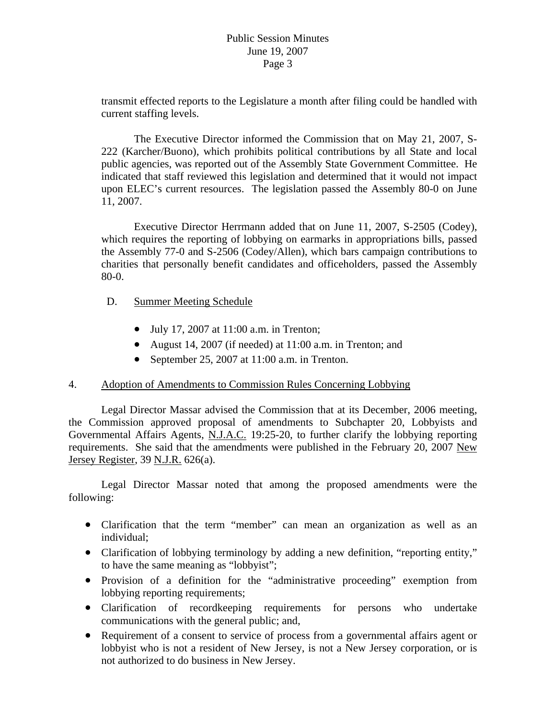transmit effected reports to the Legislature a month after filing could be handled with current staffing levels.

 The Executive Director informed the Commission that on May 21, 2007, S-222 (Karcher/Buono), which prohibits political contributions by all State and local public agencies, was reported out of the Assembly State Government Committee. He indicated that staff reviewed this legislation and determined that it would not impact upon ELEC's current resources. The legislation passed the Assembly 80-0 on June 11, 2007.

 Executive Director Herrmann added that on June 11, 2007, S-2505 (Codey), which requires the reporting of lobbying on earmarks in appropriations bills, passed the Assembly 77-0 and S-2506 (Codey/Allen), which bars campaign contributions to charities that personally benefit candidates and officeholders, passed the Assembly 80-0.

- D. Summer Meeting Schedule
	- July 17, 2007 at 11:00 a.m. in Trenton;
	- August 14, 2007 (if needed) at 11:00 a.m. in Trenton; and
	- September 25, 2007 at 11:00 a.m. in Trenton.

### 4. Adoption of Amendments to Commission Rules Concerning Lobbying

 Legal Director Massar advised the Commission that at its December, 2006 meeting, the Commission approved proposal of amendments to Subchapter 20, Lobbyists and Governmental Affairs Agents, N.J.A.C. 19:25-20, to further clarify the lobbying reporting requirements. She said that the amendments were published in the February 20, 2007 New Jersey Register, 39 N.J.R. 626(a).

 Legal Director Massar noted that among the proposed amendments were the following:

- Clarification that the term "member" can mean an organization as well as an individual;
- Clarification of lobbying terminology by adding a new definition, "reporting entity," to have the same meaning as "lobbyist";
- Provision of a definition for the "administrative proceeding" exemption from lobbying reporting requirements;
- Clarification of recordkeeping requirements for persons who undertake communications with the general public; and,
- Requirement of a consent to service of process from a governmental affairs agent or lobbyist who is not a resident of New Jersey, is not a New Jersey corporation, or is not authorized to do business in New Jersey.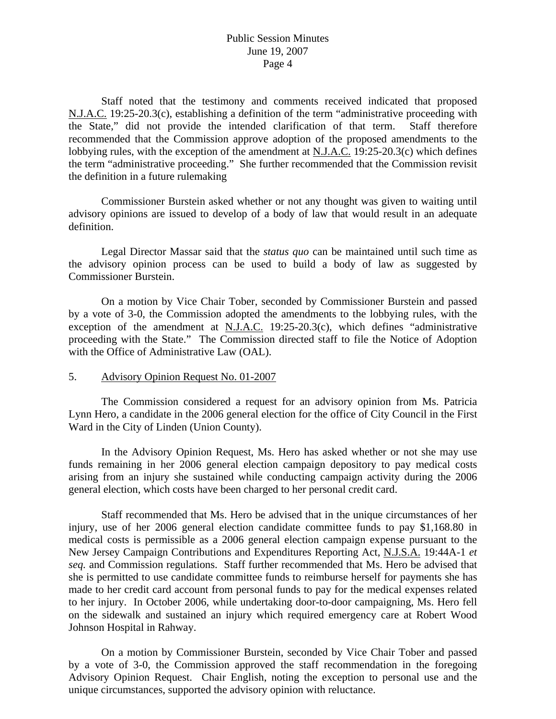Staff noted that the testimony and comments received indicated that proposed N.J.A.C. 19:25-20.3(c), establishing a definition of the term "administrative proceeding with the State," did not provide the intended clarification of that term. Staff therefore recommended that the Commission approve adoption of the proposed amendments to the lobbying rules, with the exception of the amendment at N.J.A.C. 19:25-20.3(c) which defines the term "administrative proceeding." She further recommended that the Commission revisit the definition in a future rulemaking

 Commissioner Burstein asked whether or not any thought was given to waiting until advisory opinions are issued to develop of a body of law that would result in an adequate definition.

 Legal Director Massar said that the *status quo* can be maintained until such time as the advisory opinion process can be used to build a body of law as suggested by Commissioner Burstein.

 On a motion by Vice Chair Tober, seconded by Commissioner Burstein and passed by a vote of 3-0, the Commission adopted the amendments to the lobbying rules, with the exception of the amendment at N.J.A.C. 19:25-20.3(c), which defines "administrative proceeding with the State." The Commission directed staff to file the Notice of Adoption with the Office of Administrative Law (OAL).

5. Advisory Opinion Request No. 01-2007

 The Commission considered a request for an advisory opinion from Ms. Patricia Lynn Hero, a candidate in the 2006 general election for the office of City Council in the First Ward in the City of Linden (Union County).

 In the Advisory Opinion Request, Ms. Hero has asked whether or not she may use funds remaining in her 2006 general election campaign depository to pay medical costs arising from an injury she sustained while conducting campaign activity during the 2006 general election, which costs have been charged to her personal credit card.

 Staff recommended that Ms. Hero be advised that in the unique circumstances of her injury, use of her 2006 general election candidate committee funds to pay \$1,168.80 in medical costs is permissible as a 2006 general election campaign expense pursuant to the New Jersey Campaign Contributions and Expenditures Reporting Act, N.J.S.A. 19:44A-1 *et seq.* and Commission regulations. Staff further recommended that Ms. Hero be advised that she is permitted to use candidate committee funds to reimburse herself for payments she has made to her credit card account from personal funds to pay for the medical expenses related to her injury. In October 2006, while undertaking door-to-door campaigning, Ms. Hero fell on the sidewalk and sustained an injury which required emergency care at Robert Wood Johnson Hospital in Rahway.

 On a motion by Commissioner Burstein, seconded by Vice Chair Tober and passed by a vote of 3-0, the Commission approved the staff recommendation in the foregoing Advisory Opinion Request. Chair English, noting the exception to personal use and the unique circumstances, supported the advisory opinion with reluctance.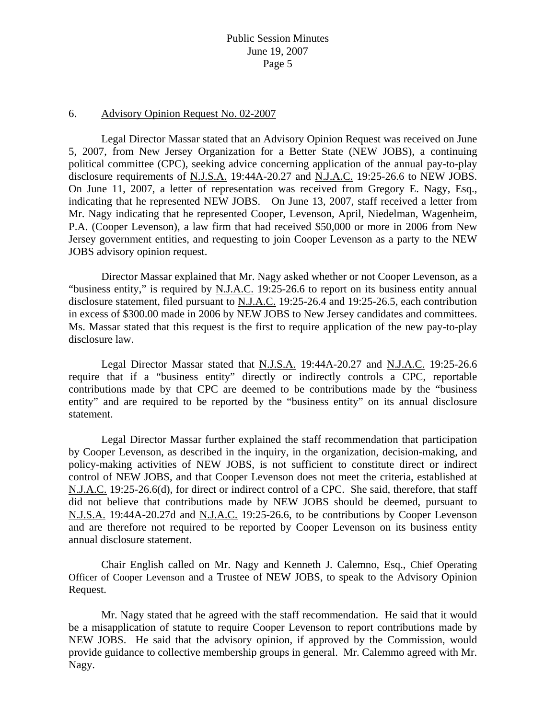#### 6. Advisory Opinion Request No. 02-2007

 Legal Director Massar stated that an Advisory Opinion Request was received on June 5, 2007, from New Jersey Organization for a Better State (NEW JOBS), a continuing political committee (CPC), seeking advice concerning application of the annual pay-to-play disclosure requirements of N.J.S.A. 19:44A-20.27 and N.J.A.C. 19:25-26.6 to NEW JOBS. On June 11, 2007, a letter of representation was received from Gregory E. Nagy, Esq., indicating that he represented NEW JOBS. On June 13, 2007, staff received a letter from Mr. Nagy indicating that he represented Cooper, Levenson, April, Niedelman, Wagenheim, P.A. (Cooper Levenson), a law firm that had received \$50,000 or more in 2006 from New Jersey government entities, and requesting to join Cooper Levenson as a party to the NEW JOBS advisory opinion request.

 Director Massar explained that Mr. Nagy asked whether or not Cooper Levenson, as a "business entity," is required by N.J.A.C. 19:25-26.6 to report on its business entity annual disclosure statement, filed pursuant to N.J.A.C. 19:25-26.4 and 19:25-26.5, each contribution in excess of \$300.00 made in 2006 by NEW JOBS to New Jersey candidates and committees. Ms. Massar stated that this request is the first to require application of the new pay-to-play disclosure law.

 Legal Director Massar stated that N.J.S.A. 19:44A-20.27 and N.J.A.C. 19:25-26.6 require that if a "business entity" directly or indirectly controls a CPC, reportable contributions made by that CPC are deemed to be contributions made by the "business entity" and are required to be reported by the "business entity" on its annual disclosure statement.

 Legal Director Massar further explained the staff recommendation that participation by Cooper Levenson, as described in the inquiry, in the organization, decision-making, and policy-making activities of NEW JOBS, is not sufficient to constitute direct or indirect control of NEW JOBS, and that Cooper Levenson does not meet the criteria, established at N.J.A.C. 19:25-26.6(d), for direct or indirect control of a CPC. She said, therefore, that staff did not believe that contributions made by NEW JOBS should be deemed, pursuant to N.J.S.A. 19:44A-20.27d and N.J.A.C. 19:25-26.6, to be contributions by Cooper Levenson and are therefore not required to be reported by Cooper Levenson on its business entity annual disclosure statement.

 Chair English called on Mr. Nagy and Kenneth J. Calemno, Esq., Chief Operating Officer of Cooper Levenson and a Trustee of NEW JOBS, to speak to the Advisory Opinion Request.

 Mr. Nagy stated that he agreed with the staff recommendation. He said that it would be a misapplication of statute to require Cooper Levenson to report contributions made by NEW JOBS. He said that the advisory opinion, if approved by the Commission, would provide guidance to collective membership groups in general. Mr. Calemmo agreed with Mr. Nagy.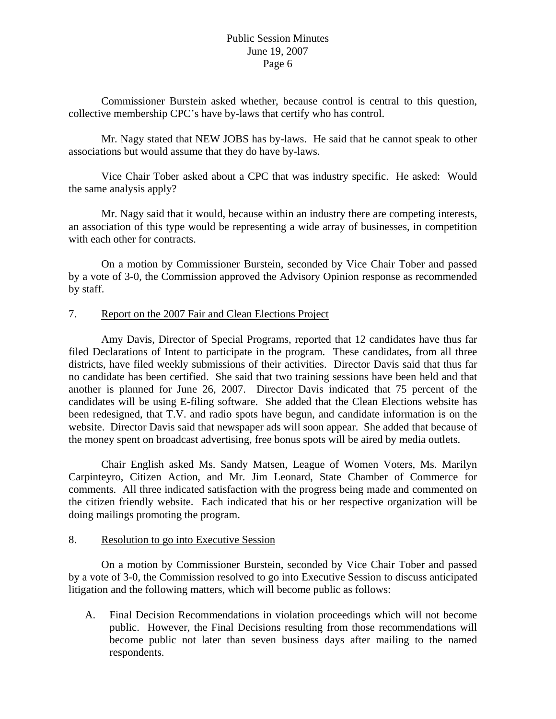Commissioner Burstein asked whether, because control is central to this question, collective membership CPC's have by-laws that certify who has control.

 Mr. Nagy stated that NEW JOBS has by-laws. He said that he cannot speak to other associations but would assume that they do have by-laws.

 Vice Chair Tober asked about a CPC that was industry specific. He asked: Would the same analysis apply?

 Mr. Nagy said that it would, because within an industry there are competing interests, an association of this type would be representing a wide array of businesses, in competition with each other for contracts.

 On a motion by Commissioner Burstein, seconded by Vice Chair Tober and passed by a vote of 3-0, the Commission approved the Advisory Opinion response as recommended by staff.

## 7. Report on the 2007 Fair and Clean Elections Project

 Amy Davis, Director of Special Programs, reported that 12 candidates have thus far filed Declarations of Intent to participate in the program. These candidates, from all three districts, have filed weekly submissions of their activities. Director Davis said that thus far no candidate has been certified. She said that two training sessions have been held and that another is planned for June 26, 2007. Director Davis indicated that 75 percent of the candidates will be using E-filing software. She added that the Clean Elections website has been redesigned, that T.V. and radio spots have begun, and candidate information is on the website. Director Davis said that newspaper ads will soon appear. She added that because of the money spent on broadcast advertising, free bonus spots will be aired by media outlets.

 Chair English asked Ms. Sandy Matsen, League of Women Voters, Ms. Marilyn Carpinteyro, Citizen Action, and Mr. Jim Leonard, State Chamber of Commerce for comments. All three indicated satisfaction with the progress being made and commented on the citizen friendly website. Each indicated that his or her respective organization will be doing mailings promoting the program.

### 8. Resolution to go into Executive Session

 On a motion by Commissioner Burstein, seconded by Vice Chair Tober and passed by a vote of 3-0, the Commission resolved to go into Executive Session to discuss anticipated litigation and the following matters, which will become public as follows:

A. Final Decision Recommendations in violation proceedings which will not become public. However, the Final Decisions resulting from those recommendations will become public not later than seven business days after mailing to the named respondents.